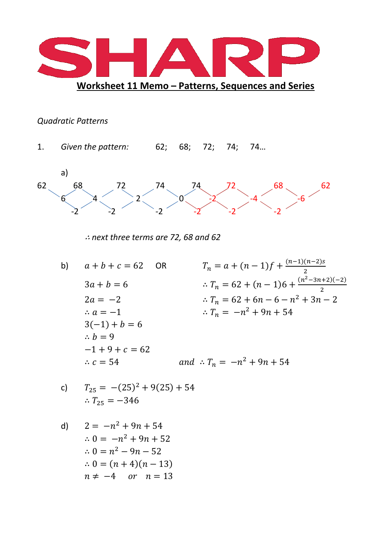

## **Quadratic Patterns**

1. Given the pattern:  $62; 68; 72; 74; 74...$ 



 $\therefore$  next three terms are 72, 68 and 62

- $T_n = a + (n 1)f + \frac{(n-1)(n-2)s}{2}$  $b)$  $a + b + c = 62$ **OR**  $\therefore T_n = 62 + (n - 1)6 + \frac{(n^2 - 3n + 2)(-2)}{2}$  $3a + b = 6$  $\therefore T_n = 62 + 6n - 6 - n^2 + 3n - 2$  $2a = -2$  $T_n = -n^2 + 9n + 54$  $\therefore a = -1$  $3(-1) + b = 6$  $\therefore b = 9$  $-1 + 9 + c = 62$ and  $\therefore T_n = -n^2 + 9n + 54$  $\therefore$  c = 54
- $T_{25} = -(25)^2 + 9(25) + 54$  $\mathsf{C}$ )  $T_{25} = -346$

d) 
$$
2 = -n^2 + 9n + 54
$$

$$
\therefore 0 = -n^2 + 9n + 52
$$

$$
\therefore 0 = n^2 - 9n - 52
$$

$$
\therefore 0 = (n + 4)(n - 13)
$$

$$
n \neq -4 \quad or \quad n = 13
$$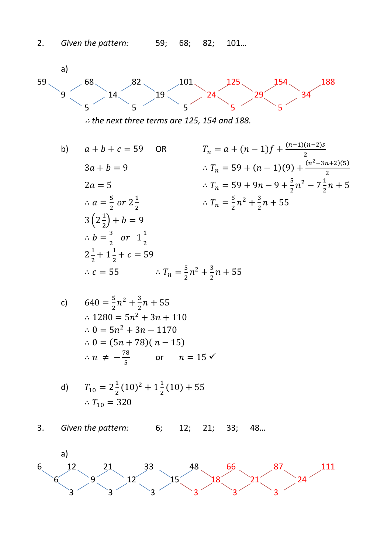

 $\therefore$  the next three terms are 125, 154 and 188.

 $T_n = a + (n - 1)f + \frac{(n-1)(n-2)s}{2}$  $a + b + c = 59$  $b)$ **OR**  $\therefore T_n = 59 + (n - 1)(9) + \frac{(n^2 - 3n + 2)(5)}{2}$  $3a + b = 9$  $\therefore T_n = 59 + 9n - 9 + \frac{5}{2}n^2 - 7\frac{1}{2}n + 5$  $2a=5$  $\therefore a = \frac{5}{3}$  or  $2\frac{1}{3}$  $\therefore T_n = \frac{5}{2}n^2 + \frac{3}{2}n + 55$  $3(2\frac{1}{2}) + b = 9$  $\therefore b = \frac{3}{2}$  or  $1\frac{1}{2}$  $2\frac{1}{2}+1\frac{1}{2}+c=59$ :  $c = 55$  <br>:  $T_n = \frac{5}{3}n^2 + \frac{3}{2}n + 55$ 

c) 
$$
640 = \frac{5}{2}n^2 + \frac{3}{2}n + 55
$$
  
\n
$$
\therefore 1280 = 5n^2 + 3n + 110
$$
  
\n
$$
\therefore 0 = 5n^2 + 3n - 1170
$$
  
\n
$$
\therefore 0 = (5n + 78)(n - 15)
$$
  
\n
$$
\therefore n \neq -\frac{78}{5} \quad \text{or} \quad n = 15 \checkmark
$$

d) 
$$
T_{10} = 2\frac{1}{2}(10)^2 + 1\frac{1}{2}(10) + 55
$$
  
 $\therefore T_{10} = 320$ 

Given the pattern:  $3.$  $6:$  $12; 21;$  $33;$ 48...

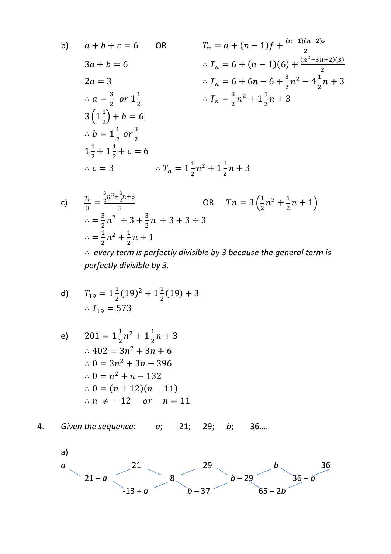b) 
$$
a + b + c = 6
$$
 OR  $T_n = a + (n - 1)f + \frac{(n-1)(n-2)s}{2}$   
\n $3a + b = 6$   $\therefore T_n = 6 + (n - 1)(6) + \frac{(n^2 - 3n + 2)(3)}{2}$   
\n $2a = 3$   $\therefore T_n = 6 + 6n - 6 + \frac{3}{2}n^2 - 4\frac{1}{2}n + 3$   
\n $\therefore a = \frac{3}{2} \text{ or } 1\frac{1}{2}$   $\therefore T_n = \frac{3}{2}n^2 + 1\frac{1}{2}n + 3$   
\n $3(1\frac{1}{2}) + b = 6$   
\n $\therefore b = 1\frac{1}{2} \text{ or } \frac{3}{2}$   
\n $1\frac{1}{2} + 1\frac{1}{2} + c = 6$   
\n $\therefore c = 3$   $\therefore T_n = 1\frac{1}{2}n^2 + 1\frac{1}{2}n + 3$ 

c) 
$$
\frac{T_n}{3} = \frac{\frac{3}{2}n^2 + \frac{3}{2}n + 3}{3}
$$
 OR  $Tn = 3(\frac{1}{2}n^2 + \frac{1}{2}n + 1)$   
\n
$$
\therefore = \frac{3}{2}n^2 \div 3 + \frac{3}{2}n \div 3 + 3 \div 3
$$
  
\n
$$
\therefore = \frac{1}{2}n^2 + \frac{1}{2}n + 1
$$
  
\n
$$
\therefore \text{ every term is perfectly divisible by 3 because the general term}
$$

n is ne gene : vy perfectly divisible by 3.

d) 
$$
T_{19} = 1\frac{1}{2}(19)^2 + 1\frac{1}{2}(19) + 3
$$
  
 $\therefore T_{19} = 573$ 

e) 
$$
201 = 1\frac{1}{2}n^2 + 1\frac{1}{2}n + 3
$$

$$
\therefore 402 = 3n^2 + 3n + 6
$$

$$
\therefore 0 = 3n^2 + 3n - 396
$$

$$
\therefore 0 = n^2 + n - 132
$$

$$
\therefore 0 = (n + 12)(n - 11)
$$

$$
\therefore n \neq -12 \quad or \quad n = 11
$$

Given the sequence: a; 4. 21; 29;  $b$ ; 36...

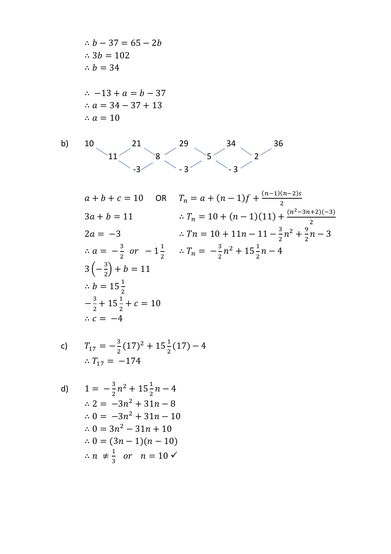$$
\therefore b - 37 = 65 - 2b
$$
  
\n
$$
\therefore 3b = 102
$$
  
\n
$$
\therefore b = 34
$$
  
\n
$$
\therefore -13 + a = b - 37
$$
  
\n
$$
\therefore a = 34 - 37 + 13
$$
  
\n
$$
\therefore a = 10
$$
  
\n**b)** 10  
\n21  
\n29  
\n34  
\n36  
\n34  
\n36  
\n36

$$
a + b + c = 10 \quad \text{OR} \quad T_n = a + (n - 1)f + \frac{(n - 1)(n - 2)s}{2}
$$
\n
$$
3a + b = 11 \qquad \therefore T_n = 10 + (n - 1)(11) + \frac{(n^2 - 3n + 2)(-3)}{2}
$$
\n
$$
2a = -3 \qquad \therefore Tn = 10 + 11n - 11 - \frac{3}{2}n^2 + \frac{9}{2}n - 3
$$
\n
$$
\therefore a = -\frac{3}{2} \quad \text{or} \quad -1\frac{1}{2} \qquad \therefore T_n = -\frac{3}{2}n^2 + 15\frac{1}{2}n - 4
$$
\n
$$
3\left(-\frac{3}{2}\right) + b = 11
$$
\n
$$
\therefore b = 15\frac{1}{2}
$$
\n
$$
-\frac{3}{2} + 15\frac{1}{2} + c = 10
$$
\n
$$
\therefore c = -4
$$

c) 
$$
T_{17} = -\frac{3}{2}(17)^2 + 15\frac{1}{2}(17) - 4
$$
  
  $\therefore T_{17} = -174$ 

d) 
$$
1 = -\frac{3}{2}n^2 + 15\frac{1}{2}n - 4
$$

$$
\therefore 2 = -3n^2 + 31n - 8
$$

$$
\therefore 0 = -3n^2 + 31n - 10
$$

$$
\therefore 0 = 3n^2 - 31n + 10
$$

$$
\therefore 0 = (3n - 1)(n - 10)
$$

$$
\therefore n \neq \frac{1}{3} \text{ or } n = 10 \checkmark
$$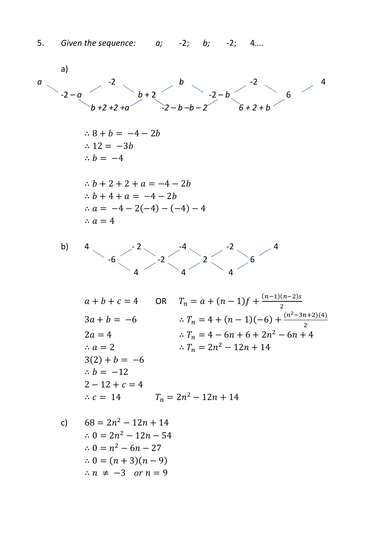a)  
\na  
\n
$$
2-a
$$
\n
$$
2 + 2 + 2 + a
$$
\n
$$
3 + b = -4 - 2b
$$
\n
$$
3a + b = -4
$$
\n
$$
3a + b = -4
$$
\n
$$
3a + b = -4
$$
\n
$$
3a + b + c = 4
$$
\n
$$
a = -4 - 2(-4) - (-4) - 4
$$
\n
$$
a = 4
$$
\n
$$
a + b + c = 4
$$
\n
$$
2 - 2
$$
\n
$$
a = 4
$$
\n
$$
a + b + c = 4
$$
\n
$$
3a + b = -6
$$
\n
$$
2a = 4
$$
\n
$$
a = 2
$$
\n
$$
3a + b = -6
$$
\n
$$
a = 2
$$
\n
$$
3a + b = -6
$$
\n
$$
a = 2
$$
\n
$$
3a + b = -6
$$
\n
$$
3a + b = -6
$$
\n
$$
3a + b = -6
$$
\n
$$
3a + b = -6
$$
\n
$$
3a + b = -6
$$
\n
$$
3a + b = -6
$$
\n
$$
3a + b = -6
$$
\n
$$
3a + b = -6
$$
\n
$$
3a + b = -6
$$
\n
$$
3a + b = -6
$$
\n
$$
3a + b = -6
$$
\n
$$
3a + b = -6
$$
\n
$$
3a + b = -6
$$
\n
$$
3a + b = -6
$$
\n
$$
3a + b = -6
$$
\n
$$
3a + b = -6
$$
\n
$$
3a + b = -6
$$
\n
$$
3a + b = -6
$$
\n
$$
3a + b = -6
$$
\n
$$
3a + b = -6
$$
\n
$$
3a + b = -6
$$
\n
$$
3a + b = -6
$$
\n
$$
3a + b = -6
$$
\n
$$
3a + b = -6
$$
\n
$$
3a + b = -6
$$

 $\therefore n \neq -3$  or  $n = 9$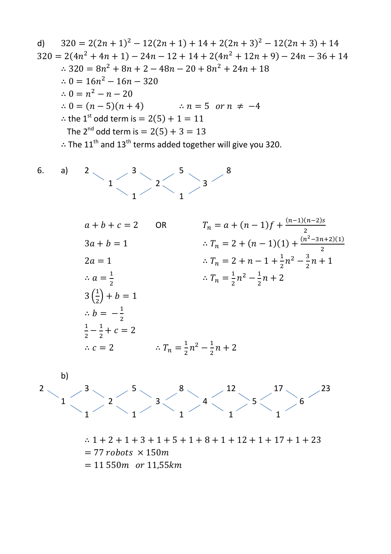d) 
$$
320 = 2(2n + 1)^2 - 12(2n + 1) + 14 + 2(2n + 3)^2 - 12(2n + 3) + 14
$$
  
\n $320 = 2(4n^2 + 4n + 1) - 24n - 12 + 14 + 2(4n^2 + 12n + 9) - 24n - 36 + 14$   
\n $\therefore 320 = 8n^2 + 8n + 2 - 48n - 20 + 8n^2 + 24n + 18$   
\n $\therefore 0 = 16n^2 - 16n - 320$   
\n $\therefore 0 = n^2 - n - 20$   
\n $\therefore 0 = (n-5)(n + 4)$   $\therefore n = 5$  or  $n \neq -4$   
\n $\therefore$  the 1<sup>st</sup> odd term is = 2(5) + 1 = 11  
\nThe 2<sup>nd</sup> odd term is = 2(5) + 3 = 13  
\n $\therefore$  The 11<sup>th</sup> and 13<sup>th</sup> terms added together will give you 320.  
\n6. a) 2  
\n $1$   
\n $2$   
\n $3$   
\n $a + b + c = 2$  OR  $T_n = a + (n - 1)f + \frac{(n-1)(n-2)s}{2}$   
\n $3a + b = 1$   $\therefore T_n = 2 + (n-1)(1) + \frac{(n^2-3n+2)(1)}{2}$   
\n $2a = 1$   $\therefore T_n = 2 + n - 1 + \frac{1}{2}n^2 - \frac{3}{2}n + 1$   
\n $\therefore a = \frac{1}{2}$   $\therefore T_n = \frac{1}{2}n^2 - \frac{1}{2}n + 2$   
\n $3(\frac{1}{2}) + b = 1$   
\n $\therefore b = -\frac{1}{2}$   
\n $\frac{1}{2} - \frac{1}{2} + c = 2$   
\n $\therefore c = 2$   $\therefore T_n = \frac{1}{2}n^2 - \frac{1}{2}n + 2$   
\nb)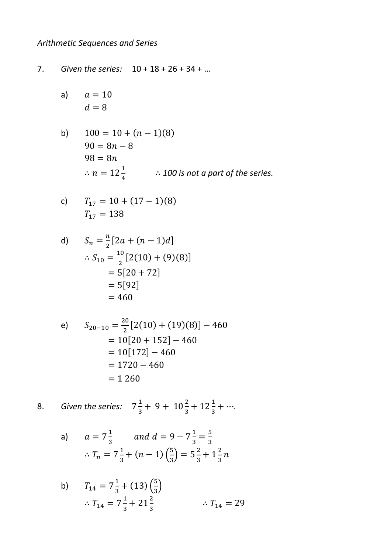## Arithmetic Sequences and Series

 $7.$ Given the series:  $10 + 18 + 26 + 34 + ...$ 

- $a=10$  $a)$  $d=8$
- $100 = 10 + (n 1)(8)$  $b)$  $90 = 8n - 8$  $98 = 8n$ ∴  $n = 12\frac{1}{4}$  ∴ 100 is not a part of the series.

c) 
$$
T_{17} = 10 + (17 - 1)(8)
$$
  
 $T_{17} = 138$ 

d) 
$$
S_n = \frac{n}{2} [2a + (n-1)d]
$$
  
\n
$$
\therefore S_{10} = \frac{10}{2} [2(10) + (9)(8)]
$$
  
\n
$$
= 5[20 + 72]
$$
  
\n
$$
= 5[92]
$$
  
\n
$$
= 460
$$

e) 
$$
S_{20-10} = \frac{20}{2} [2(10) + (19)(8)] - 460
$$

$$
= 10[20 + 152] - 460
$$

$$
= 10[172] - 460
$$

$$
= 1720 - 460
$$

$$
= 1 260
$$

8. Given the series: 
$$
7\frac{1}{3} + 9 + 10\frac{2}{3} + 12\frac{1}{3} + \cdots
$$

a) 
$$
a = 7\frac{1}{3}
$$
 and  $d = 9 - 7\frac{1}{3} = \frac{5}{3}$   

$$
\therefore T_n = 7\frac{1}{3} + (n-1)\left(\frac{5}{3}\right) = 5\frac{2}{3} + 1\frac{2}{3}n
$$

b) 
$$
T_{14} = 7\frac{1}{3} + (13)\left(\frac{5}{3}\right)
$$
  
\n $\therefore T_{14} = 7\frac{1}{3} + 21\frac{2}{3}$   $\therefore T_{14} = 29$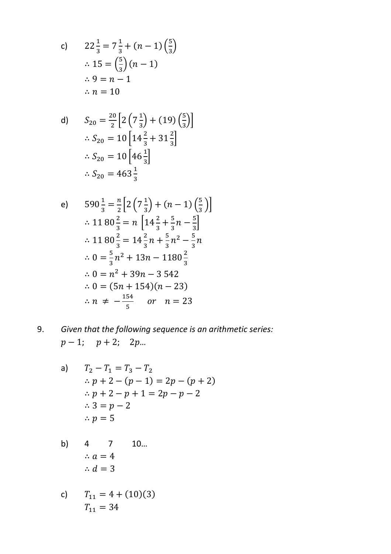c) 
$$
22\frac{1}{3} = 7\frac{1}{3} + (n-1)\left(\frac{5}{3}\right)
$$
  
\n $\therefore 15 = \left(\frac{5}{3}\right)(n-1)$   
\n $\therefore 9 = n-1$   
\n $\therefore n = 10$ 

d) 
$$
S_{20} = \frac{20}{2} \left[ 2 \left( 7 \frac{1}{3} \right) + (19) \left( \frac{5}{3} \right) \right]
$$

$$
\therefore S_{20} = 10 \left[ 14 \frac{2}{3} + 31 \frac{2}{3} \right]
$$

$$
\therefore S_{20} = 10 \left[ 46 \frac{1}{3} \right]
$$

$$
\therefore S_{20} = 463 \frac{1}{3}
$$

e) 
$$
590\frac{1}{3} = \frac{n}{2} \left[ 2\left(7\frac{1}{3}\right) + (n-1)\left(\frac{5}{3}\right) \right]
$$
  
\n $\therefore 1180\frac{2}{3} = n \left[ 14\frac{2}{3} + \frac{5}{3}n - \frac{5}{3} \right]$   
\n $\therefore 1180\frac{2}{3} = 14\frac{2}{3}n + \frac{5}{3}n^2 - \frac{5}{3}n$   
\n $\therefore 0 = \frac{5}{3}n^2 + 13n - 1180\frac{2}{3}$   
\n $\therefore 0 = n^2 + 39n - 3542$   
\n $\therefore 0 = (5n + 154)(n - 23)$   
\n $\therefore n \neq -\frac{154}{5}$  or  $n = 23$ 

9. Given that the following sequence is an arithmetic series:  $p-1$ ;  $p+2$ ;  $2p...$ 

a) 
$$
T_2 - T_1 = T_3 - T_2
$$
  
\n $\therefore p + 2 - (p - 1) = 2p - (p + 2)$   
\n $\therefore p + 2 - p + 1 = 2p - p - 2$   
\n $\therefore 3 = p - 2$   
\n $\therefore p = 5$ 

b) 4 7 10...  

$$
\therefore a = 4
$$

$$
\therefore d = 3
$$

c) 
$$
T_{11} = 4 + (10)(3)
$$
  
\n $T_{11} = 34$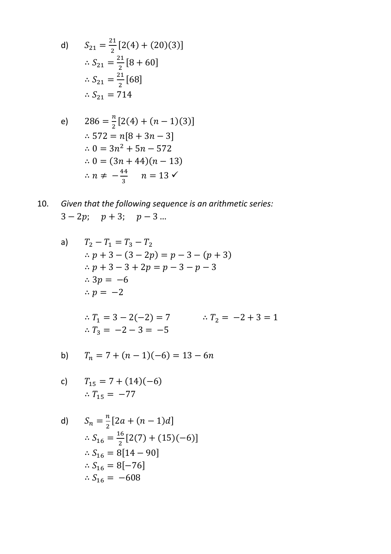d) 
$$
S_{21} = \frac{21}{2} [2(4) + (20)(3)]
$$
  
\n $\therefore S_{21} = \frac{21}{2} [8 + 60]$   
\n $\therefore S_{21} = \frac{21}{2} [68]$   
\n $\therefore S_{21} = 714$ 

e) 
$$
286 = \frac{n}{2} [2(4) + (n - 1)(3)]
$$

$$
\therefore 572 = n[8 + 3n - 3]
$$

$$
\therefore 0 = 3n^2 + 5n - 572
$$

$$
\therefore 0 = (3n + 44)(n - 13)
$$

$$
\therefore n \neq -\frac{44}{3} \quad n = 13 \checkmark
$$

10. Given that the following sequence is an arithmetic series:  $3-2p$ ;  $p+3$ ;  $p-3...$ 

a) 
$$
T_2 - T_1 = T_3 - T_2
$$
  
\n $\therefore p + 3 - (3 - 2p) = p - 3 - (p + 3)$   
\n $\therefore p + 3 - 3 + 2p = p - 3 - p - 3$   
\n $\therefore 3p = -6$   
\n $\therefore p = -2$ 

$$
\therefore T_1 = 3 - 2(-2) = 7 \qquad \therefore T_2 = -2 + 3 = 1
$$
  

$$
\therefore T_3 = -2 - 3 = -5
$$

b) 
$$
T_n = 7 + (n-1)(-6) = 13 - 6n
$$

c) 
$$
T_{15} = 7 + (14)(-6)
$$
  
 $\therefore T_{15} = -77$ 

d) 
$$
S_n = \frac{n}{2} [2a + (n-1)d]
$$
  
\n
$$
\therefore S_{16} = \frac{16}{2} [2(7) + (15)(-6)]
$$
  
\n
$$
\therefore S_{16} = 8[14 - 90]
$$
  
\n
$$
\therefore S_{16} = 8[-76]
$$
  
\n
$$
\therefore S_{16} = -608
$$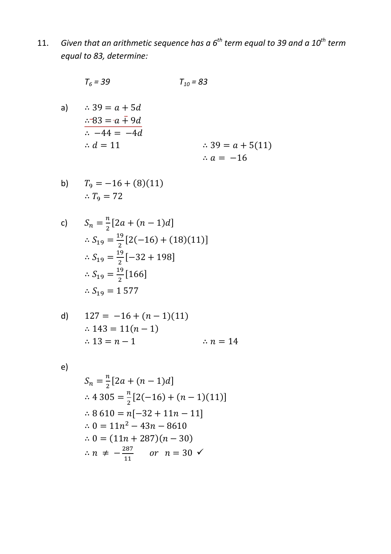Given that an arithmetic sequence has a  $6^{th}$  term equal to 39 and a  $10^{th}$  term  $11.$ equal to 83, determine:

$$
T_6 = 39 \qquad T_{10} = 83
$$

a)  $\therefore$  39 =  $a + 5d$  $\therefore 83 = a \bar{+} 9d$  $\frac{1}{44} = -4d$  $\therefore d = 11$  $\therefore$  39 =  $a + 5(11)$  $\therefore a = -16$ 

b) 
$$
T_9 = -16 + (8)(11)
$$
  
 $\therefore T_9 = 72$ 

c) 
$$
S_n = \frac{n}{2} [2a + (n-1)d]
$$
  
\n
$$
\therefore S_{19} = \frac{19}{2} [2(-16) + (18)(11)]
$$
  
\n
$$
\therefore S_{19} = \frac{19}{2} [-32 + 198]
$$
  
\n
$$
\therefore S_{19} = \frac{19}{2} [166]
$$
  
\n
$$
\therefore S_{19} = 1\,577
$$

d) 
$$
127 = -16 + (n - 1)(11)
$$
  
\n $\therefore 143 = 11(n - 1)$   
\n $\therefore 13 = n - 1$   
\n $\therefore n = 14$ 

 $e)$ 

$$
S_n = \frac{n}{2} [2a + (n-1)d]
$$
  
\n
$$
\therefore 4305 = \frac{n}{2} [2(-16) + (n-1)(11)]
$$
  
\n
$$
\therefore 8610 = n[-32 + 11n - 11]
$$
  
\n
$$
\therefore 0 = 11n^2 - 43n - 8610
$$
  
\n
$$
\therefore 0 = (11n + 287)(n - 30)
$$
  
\n
$$
\therefore n \neq -\frac{287}{11} \quad or \quad n = 30 \quad \checkmark
$$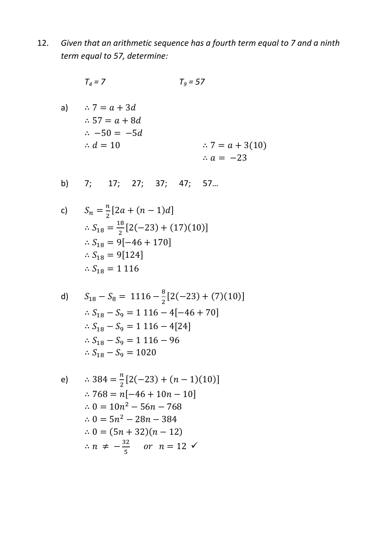Given that an arithmetic sequence has a fourth term equal to 7 and a ninth  $12.$ term equal to 57, determine:

$$
T_4 = 7 \qquad T_9 = 57
$$

a)  $\therefore 7 = a + 3d$  $\therefore 57 = a + 8d$  $\therefore -50 = -5d$  $\therefore d = 10$  $\therefore 7 = a + 3(10)$  $\therefore a = -23$ 

c) 
$$
S_n = \frac{n}{2} [2a + (n-1)d]
$$

$$
\therefore S_{18} = \frac{18}{2} [2(-23) + (17)(10)]
$$

$$
\therefore S_{18} = 9[-46 + 170]
$$

$$
\therefore S_{18} = 9[124]
$$

$$
\therefore S_{18} = 1116
$$

d) 
$$
S_{18} - S_8 = 1116 - \frac{8}{2} [2(-23) + (7)(10)]
$$
  
\n $\therefore S_{18} - S_9 = 1116 - 4[-46 + 70]$   
\n $\therefore S_{18} - S_9 = 1116 - 4[24]$   
\n $\therefore S_{18} - S_9 = 1116 - 96$   
\n $\therefore S_{18} - S_9 = 1020$ 

e)   
\n
$$
\therefore 384 = \frac{n}{2} [2(-23) + (n - 1)(10)]
$$
\n
$$
\therefore 768 = n[-46 + 10n - 10]
$$
\n
$$
\therefore 0 = 10n^2 - 56n - 768
$$
\n
$$
\therefore 0 = 5n^2 - 28n - 384
$$
\n
$$
\therefore 0 = (5n + 32)(n - 12)
$$
\n
$$
\therefore n \neq -\frac{32}{5} \quad \text{or} \quad n = 12 \quad \checkmark
$$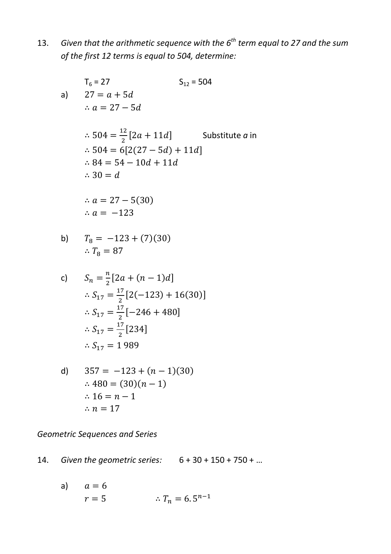13. *Given that the arithmetic sequence with the 6th term equal to 27 and the sum of the first 12 terms is equal to 504, determine:* 

$$
T_6 = 27
$$
  
\nS<sub>12</sub> = 504  
\n∴ a = 27 - 5d  
\n∴ 504 =  $\frac{12}{2}$  [2a + 11d] Substitute a in  
\n∴ 504 = 6[2(27 - 5d) + 11d]  
\n∴ 84 = 54 - 10d + 11d  
\n∴ 30 = d  
\n∴ a = 27 - 5(30)  
\n∴ a = -123

b) 
$$
T_8 = -123 + (7)(30)
$$
  
 $\therefore T_8 = 87$ 

c) 
$$
S_n = \frac{n}{2} [2a + (n-1)d]
$$

$$
\therefore S_{17} = \frac{17}{2} [2(-123) + 16(30)]
$$

$$
\therefore S_{17} = \frac{17}{2} [-246 + 480]
$$

$$
\therefore S_{17} = \frac{17}{2} [234]
$$

$$
\therefore S_{17} = 1989
$$

d) 
$$
357 = -123 + (n - 1)(30)
$$
  
\n $\therefore 480 = (30)(n - 1)$   
\n $\therefore 16 = n - 1$   
\n $\therefore n = 17$ 

*Geometric Sequences and Series* 

14. *Given the geometric series:* 6 + 30 + 150 + 750 + …

a) 
$$
a = 6
$$
  
\n $r = 5$   $\therefore T_n = 6.5^{n-1}$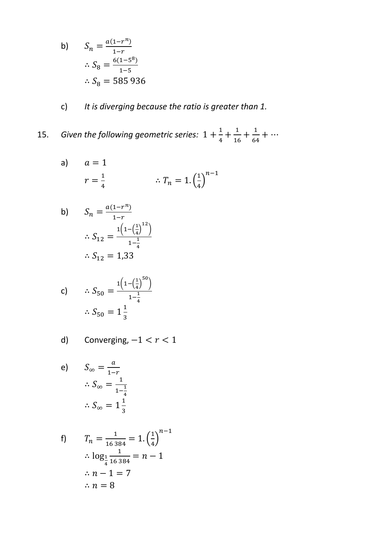b) 
$$
S_n = \frac{a(1 - r^n)}{1 - r}
$$
  
\n $\therefore S_8 = \frac{6(1 - 5^8)}{1 - 5}$   
\n $\therefore S_8 = 585936$ 

 $\mathsf{C}\big)$ It is diverging because the ratio is greater than 1.

Given the following geometric series:  $1 + \frac{1}{4} + \frac{1}{16} + \frac{1}{64} + \cdots$ 15.

a) 
$$
a = 1
$$
  
\n $r = \frac{1}{4}$   $\therefore T_n = 1 \cdot \left(\frac{1}{4}\right)^{n-1}$ 

b) 
$$
S_n = \frac{a(1 - r^n)}{1 - r}
$$

$$
\therefore S_{12} = \frac{1\left(1 - \left(\frac{1}{4}\right)^{12}\right)}{1 - \frac{1}{4}}
$$

$$
\therefore S_{12} = 1,33
$$

c) 
$$
\therefore S_{50} = \frac{1(1 - (\frac{1}{4})^{50})}{1 - \frac{1}{4}}
$$

$$
\therefore S_{50} = 1\frac{1}{3}
$$

d) Converging, 
$$
-1 < r < 1
$$

e) 
$$
S_{\infty} = \frac{a}{1-r}
$$

$$
\therefore S_{\infty} = \frac{1}{1-\frac{1}{4}}
$$

$$
\therefore S_{\infty} = 1\frac{1}{3}
$$

f) 
$$
T_n = \frac{1}{16384} = 1 \cdot \left(\frac{1}{4}\right)^{n-1} \\
\therefore \log_{\frac{1}{4}} \frac{1}{16384} = n - 1 \\
\therefore n - 1 = 7 \\
\therefore n = 8
$$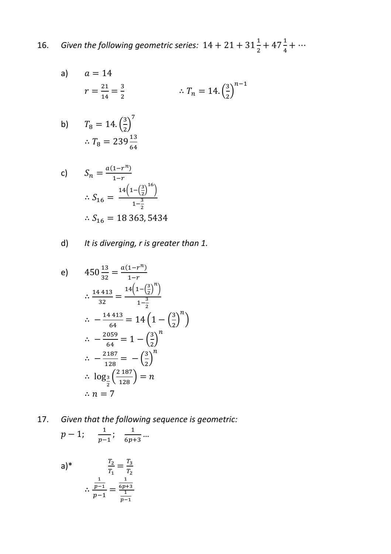Given the following geometric series:  $14 + 21 + 31\frac{1}{2} + 47\frac{1}{4} + \cdots$ 16.

a) 
$$
a = 14
$$
  
\n $r = \frac{21}{14} = \frac{3}{2}$   $\therefore T_n = 14.(\frac{3}{2})^{n-1}$ 

b) 
$$
T_8 = 14. \left(\frac{3}{2}\right)^7
$$
  
 $\therefore T_8 = 239 \frac{13}{64}$ 

c) 
$$
S_n = \frac{a(1 - r^n)}{1 - r}
$$

$$
\therefore S_{16} = \frac{14(1 - (\frac{3}{2})^{16})}{1 - \frac{3}{2}}
$$

$$
\therefore S_{16} = 18363, 5434
$$

 $d)$  It is diverging, r is greater than 1.

e) 
$$
450 \frac{13}{32} = \frac{a(1 - r^n)}{1 - r}
$$
  
\n $\therefore \frac{14413}{32} = \frac{14(1 - (\frac{3}{2})^n)}{1 - \frac{3}{2}}$   
\n $\therefore -\frac{14413}{64} = 14(1 - (\frac{3}{2})^n)$   
\n $\therefore -\frac{2059}{64} = 1 - (\frac{3}{2})^n$   
\n $\therefore -\frac{2187}{128} = -(\frac{3}{2})^n$   
\n $\therefore \log_{\frac{3}{2}}(\frac{2187}{128}) = n$   
\n $\therefore n = 7$ 

17. Given that the following sequence is geometric:

$$
p-1
$$
;  $\frac{1}{p-1}$ ;  $\frac{1}{6p+3}$ ...

a)\* 
$$
\frac{T_2}{T_1} = \frac{T_3}{T_2}
$$
  
  $\therefore \frac{\frac{1}{p-1}}{p-1} = \frac{\frac{1}{6p+3}}{\frac{1}{p-1}}$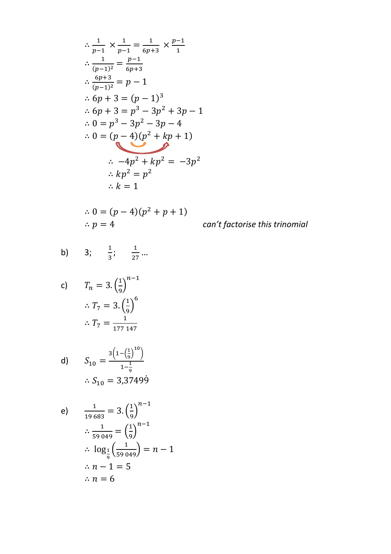$$
\therefore \frac{1}{p-1} \times \frac{1}{p-1} = \frac{1}{6p+3} \times \frac{p-1}{1}
$$
  
\n
$$
\therefore \frac{1}{(p-1)^2} = \frac{p-1}{6p+3}
$$
  
\n
$$
\therefore \frac{6p+3}{(p-1)^2} = p-1
$$
  
\n
$$
\therefore 6p+3 = (p-1)^3
$$
  
\n
$$
\therefore 6p+3 = p^3 - 3p^2 + 3p - 1
$$
  
\n
$$
\therefore 0 = p^3 - 3p^2 - 3p - 4
$$
  
\n
$$
\therefore 0 = (p-4)(p^2 + kp + 1)
$$
  
\n
$$
\therefore -4p^2 + kp^2 = -3p^2
$$
  
\n
$$
\therefore kp^2 = p^2
$$
  
\n
$$
\therefore k = 1
$$

$$
\therefore 0 = (p-4)(p^2 + p + 1)
$$
  
\n
$$
\therefore p = 4
$$

can't factorise this trinomial

b) 3; 
$$
\frac{1}{3}
$$
;  $\frac{1}{27}$ ...

c) 
$$
T_n = 3 \cdot \left(\frac{1}{9}\right)^{n-1}
$$
  
\n $\therefore T_7 = 3 \cdot \left(\frac{1}{9}\right)^6$   
\n $\therefore T_7 = \frac{1}{177 \cdot 147}$ 

d) 
$$
S_{10} = \frac{3\left(1 - \left(\frac{1}{9}\right)^{10}\right)}{1 - \frac{1}{9}}
$$

$$
\therefore S_{10} = 3,37499
$$

e) 
$$
\frac{1}{19683} = 3 \cdot \left(\frac{1}{9}\right)^{n-1}
$$

$$
\therefore \frac{1}{59049} = \left(\frac{1}{9}\right)^{n-1}
$$

$$
\therefore \log_{\frac{1}{9}}\left(\frac{1}{59049}\right) = n - 1
$$

$$
\therefore n - 1 = 5
$$

$$
\therefore n = 6
$$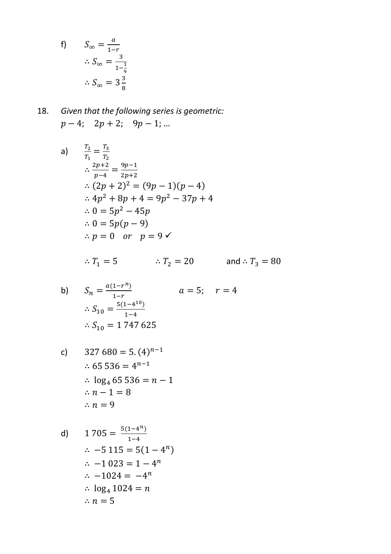f) 
$$
S_{\infty} = \frac{a}{1-r}
$$

$$
\therefore S_{\infty} = \frac{3}{1-\frac{1}{9}}
$$

$$
\therefore S_{\infty} = 3\frac{3}{8}
$$

18. Given that the following series is geometric:  

$$
p-4
$$
;  $2p+2$ ;  $9p-1$ ; ...

a) 
$$
\frac{T_2}{T_1} = \frac{T_3}{T_2}
$$
  
\n
$$
\therefore \frac{2p+2}{p-4} = \frac{9p-1}{2p+2}
$$
  
\n
$$
\therefore (2p+2)^2 = (9p-1)(p-4)
$$
  
\n
$$
\therefore 4p^2 + 8p + 4 = 9p^2 - 37p + 4
$$
  
\n
$$
\therefore 0 = 5p^2 - 45p
$$
  
\n
$$
\therefore 0 = 5p(p-9)
$$
  
\n
$$
\therefore p = 0 \text{ or } p = 9
$$

$$
\therefore T_1 = 5 \qquad \qquad \therefore T_2 = 20 \qquad \qquad \text{and} \therefore T_3 = 80
$$

b) 
$$
S_n = \frac{a(1 - r^n)}{1 - r}
$$
  $a = 5; \quad r = 4$   

$$
\therefore S_{10} = \frac{5(1 - 4^{10})}{1 - 4}
$$

$$
\therefore S_{10} = 1747625
$$

c) 
$$
327 680 = 5.(4)^{n-1}
$$
  
\n $\therefore 65 536 = 4^{n-1}$   
\n $\therefore \log_4 65 536 = n - 1$   
\n $\therefore n - 1 = 8$   
\n $\therefore n = 9$ 

d) 
$$
1705 = \frac{5(1-4^n)}{1-4}
$$

$$
\therefore -5115 = 5(1-4^n)
$$

$$
\therefore -1023 = 1-4^n
$$

$$
\therefore -1024 = -4^n
$$

$$
\therefore \log_4 1024 = n
$$

$$
\therefore n = 5
$$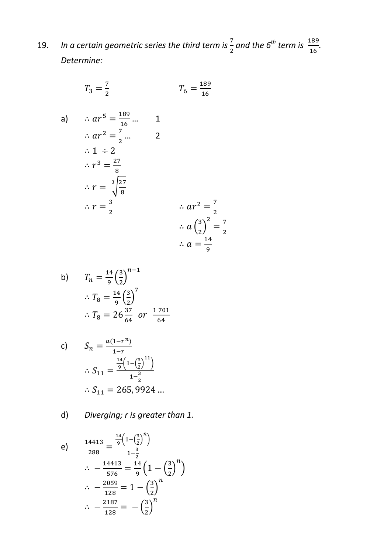19. *In a certain geometric series the third term is*  $\frac{7}{2}$  and the 6<sup>th</sup> term is  $\frac{189}{16}$ . *Determine:* 

> 7  $\frac{7}{2}$

$$
T_3 = \frac{7}{2} \qquad T_6 = \frac{189}{16}
$$

a) 
$$
\therefore ar^5 = \frac{189}{16} \dots
$$
  
\n $\therefore ar^2 = \frac{7}{2} \dots$   
\n $\therefore 1 \div 2$   
\n $\therefore r^3 = \frac{27}{8}$   
\n $\therefore r = \sqrt[3]{\frac{27}{8}}$   
\n $\therefore r = \frac{3}{2}$   
\n $\therefore ar^2 = \frac{7}{2}$   
\n $\therefore a \left(\frac{3}{2}\right)^2 =$   
\n $\therefore a = \frac{14}{9}$ 

b) 
$$
T_n = \frac{14}{9} \left(\frac{3}{2}\right)^{n-1}
$$
  
\n $\therefore T_8 = \frac{14}{9} \left(\frac{3}{2}\right)^7$   
\n $\therefore T_8 = 26 \frac{37}{64} \text{ or } \frac{1701}{64}$ 

c) 
$$
S_n = \frac{a(1 - r^n)}{1 - r}
$$

$$
\therefore S_{11} = \frac{\frac{14}{9} \left(1 - \left(\frac{3}{2}\right)^{11}\right)}{1 - \frac{3}{2}}
$$

$$
\therefore S_{11} = 265,9924...
$$

d) *Diverging; r is greater than 1.* 

e) 
$$
\frac{14413}{288} = \frac{\frac{14}{9} \left(1 - \left(\frac{3}{2}\right)^n\right)}{1 - \frac{3}{2}}
$$

$$
\therefore -\frac{14413}{576} = \frac{14}{9} \left(1 - \left(\frac{3}{2}\right)^n\right)
$$

$$
\therefore -\frac{2059}{128} = 1 - \left(\frac{3}{2}\right)^n
$$

$$
\therefore -\frac{2187}{128} = -\left(\frac{3}{2}\right)^n
$$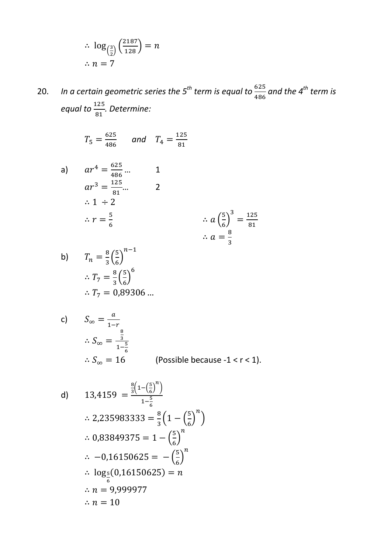$$
\therefore \log_{\left(\frac{3}{2}\right)}\left(\frac{2187}{128}\right) = n
$$
  

$$
\therefore n = 7
$$

20. *In a certain geometric series the 5<sup>th</sup> term is equal to*  $\frac{625}{486}$  *and the 4<sup>th</sup> term is equal to*  ( *. Determine:* 

$$
T_5 = \frac{625}{486} \quad \text{and} \quad T_4 = \frac{125}{81}
$$

a) 
$$
ar^4 = \frac{625}{486} ...
$$
  
\n $ar^3 = \frac{125}{81} ...$   
\n $\therefore 1 \div 2$   
\n $\therefore r = \frac{5}{6}$   
\n $\therefore a = \frac{8}{3}$ 

b) 
$$
T_n = \frac{8}{3} \left(\frac{5}{6}\right)^{n-1}
$$
  
\n $\therefore T_7 = \frac{8}{3} \left(\frac{5}{6}\right)^6$   
\n $\therefore T_7 = 0.89306 \dots$ 

c) 
$$
S_{\infty} = \frac{a}{1-r}
$$
  
\n
$$
\therefore S_{\infty} = \frac{\frac{8}{3}}{1-\frac{5}{6}}
$$
\n
$$
\therefore S_{\infty} = 16
$$
 (Possible because -1 < r < 1).

d) 
$$
13,4159 = \frac{\frac{8}{3}\left(1 - \left(\frac{5}{6}\right)^n\right)}{1 - \frac{5}{6}}
$$
  
\n
$$
\therefore 2,235983333 = \frac{8}{3}\left(1 - \left(\frac{5}{6}\right)^n\right)
$$
  
\n
$$
\therefore 0,83849375 = 1 - \left(\frac{5}{6}\right)^n
$$
  
\n
$$
\therefore -0,16150625 = -\left(\frac{5}{6}\right)^n
$$
  
\n
$$
\therefore \log_{\frac{5}{6}}(0,16150625) = n
$$
  
\n
$$
\therefore n = 9,999977
$$
  
\n
$$
\therefore n = 10
$$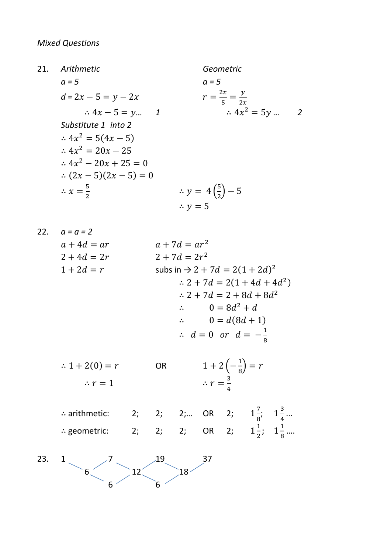$21.$ Arithmetic Geometric  $a = 5$  $a = 5$  $r = \frac{2x}{5} = \frac{y}{2x}$  $d = 2x - 5 = y - 2x$  $\therefore 4x^2 = 5y \dots 2$  $\therefore 4x - 5 = y \dots 1$ Substitute 1 into 2  $\therefore 4x^2 = 5(4x - 5)$  $.4x^2 = 20x - 25$  $\therefore$  4x<sup>2</sup> - 20x + 25 = 0  $(2x-5)(2x-5) = 0$ ∴  $y = 4\left(\frac{5}{2}\right) - 5$  $\therefore x = \frac{5}{3}$  $\therefore$   $v = 5$ 22.  $a = a = 2$  $a+7d=ar^2$  $a + 4d = ar$  $2 + 7d = 2r^2$  $2 + 4d = 2r$ subs in  $\rightarrow$  2 + 7d = 2(1 + 2d)<sup>2</sup>  $1 + 2d = r$  $\therefore$  2 + 7d = 2(1 + 4d + 4d<sup>2</sup>)  $\therefore$  2 + 7d = 2 + 8d + 8d<sup>2</sup>  $\therefore \qquad 0 = 8d^2 + d$  $\therefore \qquad 0 = d(8d+1)$  $\therefore d = 0 \text{ or } d = -\frac{1}{8}$ 

 $1 + 2\left(-\frac{1}{8}\right) = r$  $\therefore$  1 + 2(0) = r **OR**  $\therefore r = \frac{3}{4}$  $\therefore r = 1$ 

.. arithmetic: 2; 2; 2; 0R 2;  $1\frac{7}{8}$ ;  $1\frac{3}{4}$ ...<br>
.. geometric: 2; 2; 2; 0R 2;  $1\frac{1}{2}$ ;  $1\frac{1}{8}$ ...